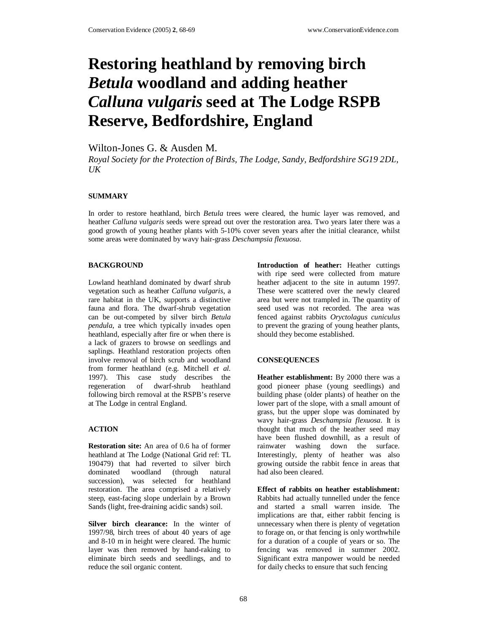# **Restoring heathland by removing birch**  *Betula* **woodland and adding heather**  *Calluna vulgaris* **seed at The Lodge RSPB Reserve, Bedfordshire, England**

Wilton-Jones G. & Ausden M.

*Royal Society for the Protection of Birds, The Lodge, Sandy, Bedfordshire SG19 2DL,*   $I/K$ 

## **SUMMARY**

In order to restore heathland, birch *Betula* trees were cleared, the humic layer was removed, and heather *Calluna vulgaris* seeds were spread out over the restoration area. Two years later there was a good growth of young heather plants with 5-10% cover seven years after the initial clearance, whilst some areas were dominated by wavy hair-grass *Deschampsia flexuosa*.

## **BACKGROUND**

Lowland heathland dominated by dwarf shrub vegetation such as heather *Calluna vulgaris*, a rare habitat in the UK, supports a distinctive fauna and flora. The dwarf-shrub vegetation can be out-competed by silver birch *Betula pendula*, a tree which typically invades open heathland, especially after fire or when there is a lack of grazers to browse on seedlings and saplings. Heathland restoration projects often involve removal of birch scrub and woodland from former heathland (e.g. Mitchell *et al.* 1997). This case study describes the regeneration of dwarf-shrub heathland following birch removal at the RSPB's reserve at The Lodge in central England.

## **ACTION**

**Restoration site:** An area of 0.6 ha of former heathland at The Lodge (National Grid ref: TL 190479) that had reverted to silver birch dominated woodland (through natural succession), was selected for heathland restoration. The area comprised a relatively steep, east-facing slope underlain by a Brown Sands (light, free-draining acidic sands) soil.

**Silver birch clearance:** In the winter of 1997/98, birch trees of about 40 years of age and 8-10 m in height were cleared. The humic layer was then removed by hand-raking to eliminate birch seeds and seedlings, and to reduce the soil organic content.

**Introduction of heather:** Heather cuttings with ripe seed were collected from mature heather adjacent to the site in autumn 1997. These were scattered over the newly cleared area but were not trampled in. The quantity of seed used was not recorded. The area was fenced against rabbits *Oryctolagus cuniculus* to prevent the grazing of young heather plants, should they become established.

## **CONSEQUENCES**

**Heather establishment:** By 2000 there was a good pioneer phase (young seedlings) and building phase (older plants) of heather on the lower part of the slope, with a small amount of grass, but the upper slope was dominated by wavy hair-grass *Deschampsia flexuosa*. It is thought that much of the heather seed may have been flushed downhill, as a result of rainwater washing down the surface. Interestingly, plenty of heather was also growing outside the rabbit fence in areas that had also been cleared.

**Effect of rabbits on heather establishment:** Rabbits had actually tunnelled under the fence and started a small warren inside. The implications are that, either rabbit fencing is unnecessary when there is plenty of vegetation to forage on, or that fencing is only worthwhile for a duration of a couple of years or so. The fencing was removed in summer 2002. Significant extra manpower would be needed for daily checks to ensure that such fencing